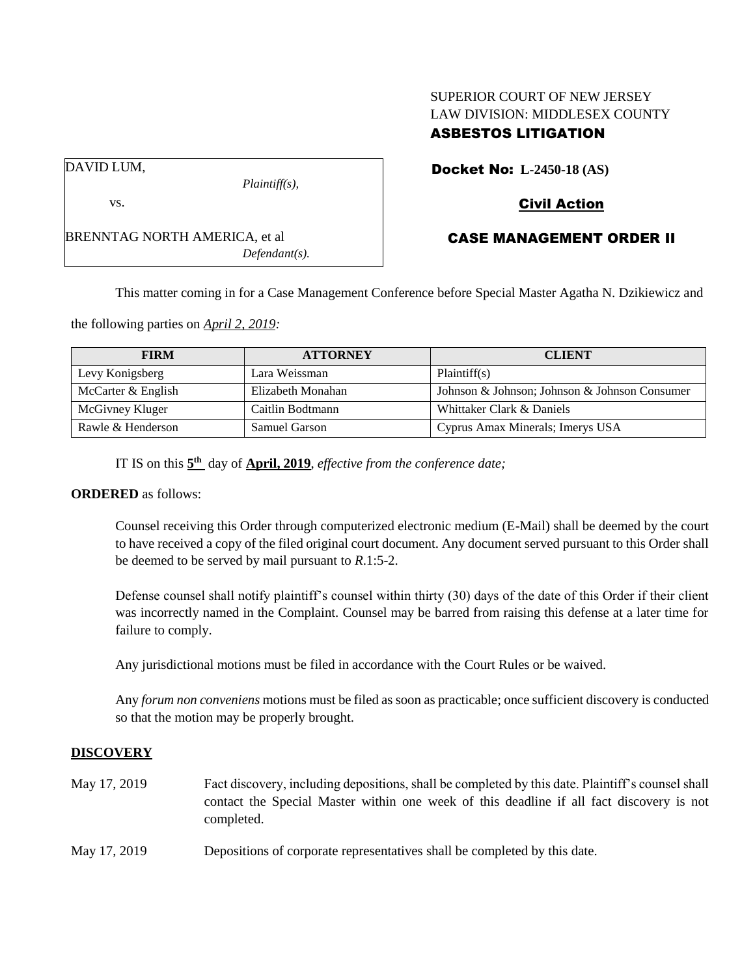# SUPERIOR COURT OF NEW JERSEY LAW DIVISION: MIDDLESEX COUNTY ASBESTOS LITIGATION

DAVID LUM,

vs.

BRENNTAG NORTH AMERICA, et al *Defendant(s).*

*Plaintiff(s),*

Docket No: **L-2450-18 (AS)**

# Civil Action

# CASE MANAGEMENT ORDER II

This matter coming in for a Case Management Conference before Special Master Agatha N. Dzikiewicz and

the following parties on *April 2, 2019:*

| <b>FIRM</b>        | <b>ATTORNEY</b>      | <b>CLIENT</b>                                 |
|--------------------|----------------------|-----------------------------------------------|
| Levy Konigsberg    | Lara Weissman        | Plaintiff(s)                                  |
| McCarter & English | Elizabeth Monahan    | Johnson & Johnson; Johnson & Johnson Consumer |
| McGivney Kluger    | Caitlin Bodtmann     | Whittaker Clark & Daniels                     |
| Rawle & Henderson  | <b>Samuel Garson</b> | Cyprus Amax Minerals; Imerys USA              |

IT IS on this **5 th** day of **April, 2019**, *effective from the conference date;*

#### **ORDERED** as follows:

Counsel receiving this Order through computerized electronic medium (E-Mail) shall be deemed by the court to have received a copy of the filed original court document. Any document served pursuant to this Order shall be deemed to be served by mail pursuant to *R*.1:5-2.

Defense counsel shall notify plaintiff's counsel within thirty (30) days of the date of this Order if their client was incorrectly named in the Complaint. Counsel may be barred from raising this defense at a later time for failure to comply.

Any jurisdictional motions must be filed in accordance with the Court Rules or be waived.

Any *forum non conveniens* motions must be filed as soon as practicable; once sufficient discovery is conducted so that the motion may be properly brought.

## **DISCOVERY**

- May 17, 2019 Fact discovery, including depositions, shall be completed by this date. Plaintiff's counsel shall contact the Special Master within one week of this deadline if all fact discovery is not completed.
- May 17, 2019 Depositions of corporate representatives shall be completed by this date.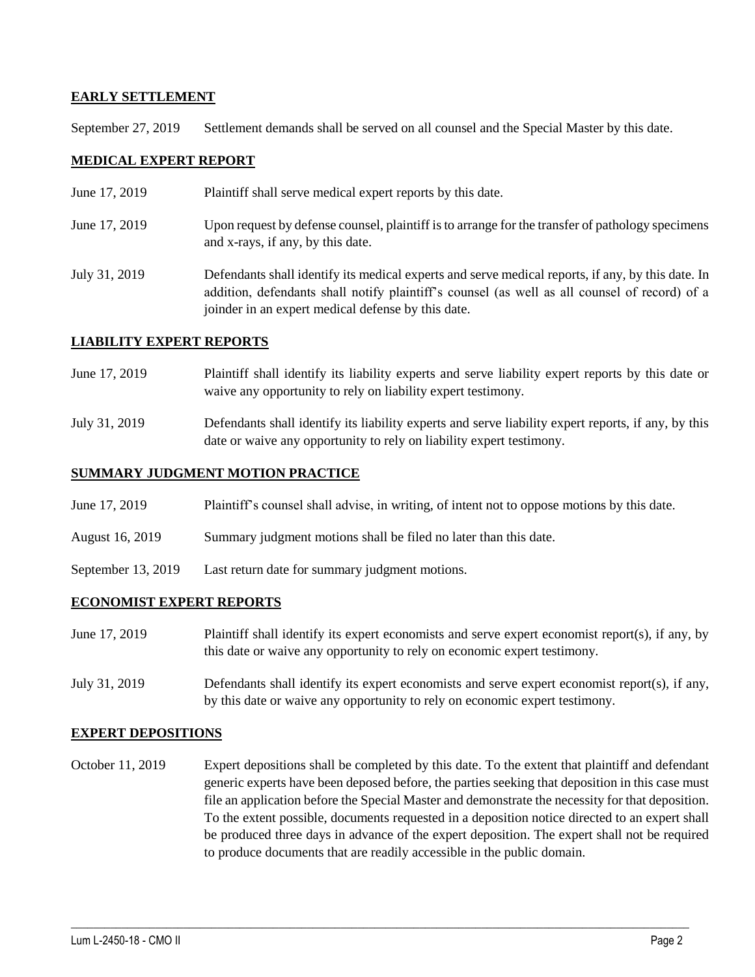### **EARLY SETTLEMENT**

September 27, 2019 Settlement demands shall be served on all counsel and the Special Master by this date.

### **MEDICAL EXPERT REPORT**

June 17, 2019 Plaintiff shall serve medical expert reports by this date. June 17, 2019 Upon request by defense counsel, plaintiff is to arrange for the transfer of pathology specimens and x-rays, if any, by this date. July 31, 2019 Defendants shall identify its medical experts and serve medical reports, if any, by this date. In addition, defendants shall notify plaintiff's counsel (as well as all counsel of record) of a joinder in an expert medical defense by this date.

### **LIABILITY EXPERT REPORTS**

- June 17, 2019 Plaintiff shall identify its liability experts and serve liability expert reports by this date or waive any opportunity to rely on liability expert testimony.
- July 31, 2019 Defendants shall identify its liability experts and serve liability expert reports, if any, by this date or waive any opportunity to rely on liability expert testimony.

### **SUMMARY JUDGMENT MOTION PRACTICE**

- June 17, 2019 Plaintiff's counsel shall advise, in writing, of intent not to oppose motions by this date.
- August 16, 2019 Summary judgment motions shall be filed no later than this date.
- September 13, 2019 Last return date for summary judgment motions.

#### **ECONOMIST EXPERT REPORTS**

- June 17, 2019 Plaintiff shall identify its expert economists and serve expert economist report(s), if any, by this date or waive any opportunity to rely on economic expert testimony.
- July 31, 2019 Defendants shall identify its expert economists and serve expert economist report(s), if any, by this date or waive any opportunity to rely on economic expert testimony.

#### **EXPERT DEPOSITIONS**

October 11, 2019 Expert depositions shall be completed by this date. To the extent that plaintiff and defendant generic experts have been deposed before, the parties seeking that deposition in this case must file an application before the Special Master and demonstrate the necessity for that deposition. To the extent possible, documents requested in a deposition notice directed to an expert shall be produced three days in advance of the expert deposition. The expert shall not be required to produce documents that are readily accessible in the public domain.

 $\_$  ,  $\_$  ,  $\_$  ,  $\_$  ,  $\_$  ,  $\_$  ,  $\_$  ,  $\_$  ,  $\_$  ,  $\_$  ,  $\_$  ,  $\_$  ,  $\_$  ,  $\_$  ,  $\_$  ,  $\_$  ,  $\_$  ,  $\_$  ,  $\_$  ,  $\_$  ,  $\_$  ,  $\_$  ,  $\_$  ,  $\_$  ,  $\_$  ,  $\_$  ,  $\_$  ,  $\_$  ,  $\_$  ,  $\_$  ,  $\_$  ,  $\_$  ,  $\_$  ,  $\_$  ,  $\_$  ,  $\_$  ,  $\_$  ,